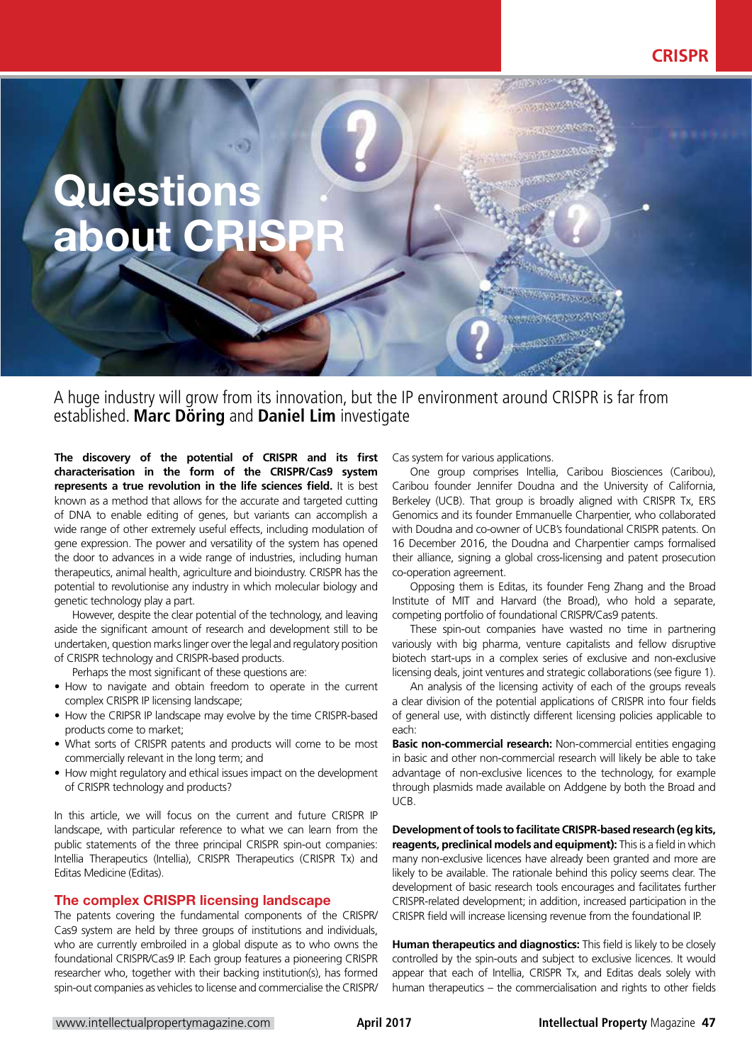

A huge industry will grow from its innovation, but the IP environment around CRISPR is far from established. **Marc Döring** and **Daniel Lim** investigate

**The discovery of the potential of CRISPR and its first characterisation in the form of the CRISPR/Cas9 system represents a true revolution in the life sciences field.** It is best known as a method that allows for the accurate and targeted cutting of DNA to enable editing of genes, but variants can accomplish a wide range of other extremely useful effects, including modulation of gene expression. The power and versatility of the system has opened the door to advances in a wide range of industries, including human therapeutics, animal health, agriculture and bioindustry. CRISPR has the potential to revolutionise any industry in which molecular biology and genetic technology play a part.

However, despite the clear potential of the technology, and leaving aside the significant amount of research and development still to be undertaken, question marks linger over the legal and regulatory position of CRISPR technology and CRISPR-based products.

Perhaps the most significant of these questions are:

- How to navigate and obtain freedom to operate in the current complex CRISPR IP licensing landscape;
- How the CRIPSR IP landscape may evolve by the time CRISPR-based products come to market;
- What sorts of CRISPR patents and products will come to be most commercially relevant in the long term; and
- How might regulatory and ethical issues impact on the development of CRISPR technology and products?

In this article, we will focus on the current and future CRISPR IP landscape, with particular reference to what we can learn from the public statements of the three principal CRISPR spin-out companies: Intellia Therapeutics (Intellia), CRISPR Therapeutics (CRISPR Tx) and Editas Medicine (Editas).

## The complex CRISPR licensing landscape

The patents covering the fundamental components of the CRISPR/ Cas9 system are held by three groups of institutions and individuals, who are currently embroiled in a global dispute as to who owns the foundational CRISPR/Cas9 IP. Each group features a pioneering CRISPR researcher who, together with their backing institution(s), has formed spin-out companies as vehicles to license and commercialise the CRISPR/

Cas system for various applications.

One group comprises Intellia, Caribou Biosciences (Caribou), Caribou founder Jennifer Doudna and the University of California, Berkeley (UCB). That group is broadly aligned with CRISPR Tx, ERS Genomics and its founder Emmanuelle Charpentier, who collaborated with Doudna and co-owner of UCB's foundational CRISPR patents. On 16 December 2016, the Doudna and Charpentier camps formalised their alliance, signing a global cross-licensing and patent prosecution co-operation agreement.

Opposing them is Editas, its founder Feng Zhang and the Broad Institute of MIT and Harvard (the Broad), who hold a separate, competing portfolio of foundational CRISPR/Cas9 patents.

These spin-out companies have wasted no time in partnering variously with big pharma, venture capitalists and fellow disruptive biotech start-ups in a complex series of exclusive and non-exclusive licensing deals, joint ventures and strategic collaborations (see figure 1).

An analysis of the licensing activity of each of the groups reveals a clear division of the potential applications of CRISPR into four fields of general use, with distinctly different licensing policies applicable to each:

**Basic non-commercial research:** Non-commercial entities engaging in basic and other non-commercial research will likely be able to take advantage of non-exclusive licences to the technology, for example through plasmids made available on Addgene by both the Broad and UCB.

**Development of tools to facilitate CRISPR-based research (eg kits, reagents, preclinical models and equipment):** This is a field in which many non-exclusive licences have already been granted and more are likely to be available. The rationale behind this policy seems clear. The development of basic research tools encourages and facilitates further CRISPR-related development; in addition, increased participation in the CRISPR field will increase licensing revenue from the foundational IP.

**Human therapeutics and diagnostics:** This field is likely to be closely controlled by the spin-outs and subject to exclusive licences. It would appear that each of Intellia, CRISPR Tx, and Editas deals solely with human therapeutics – the commercialisation and rights to other fields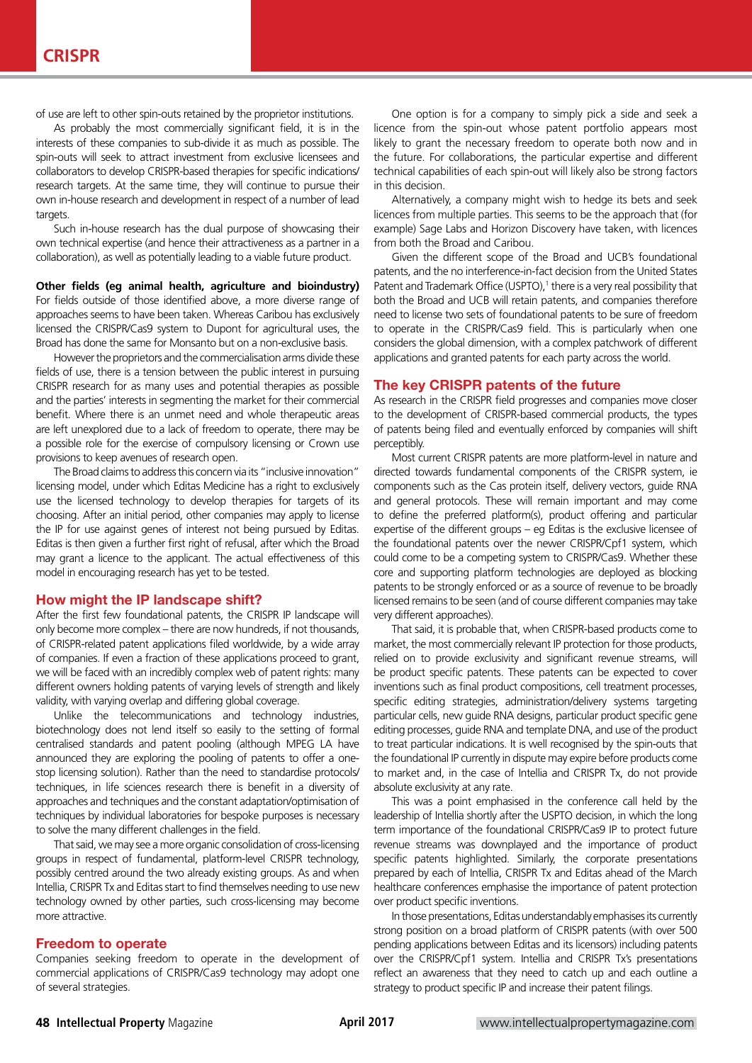of use are left to other spin-outs retained by the proprietor institutions.

As probably the most commercially significant field, it is in the interests of these companies to sub-divide it as much as possible. The spin-outs will seek to attract investment from exclusive licensees and collaborators to develop CRISPR-based therapies for specific indications/ research targets. At the same time, they will continue to pursue their own in-house research and development in respect of a number of lead targets.

Such in-house research has the dual purpose of showcasing their own technical expertise (and hence their attractiveness as a partner in a collaboration), as well as potentially leading to a viable future product.

#### **Other fields (eg animal health, agriculture and bioindustry)** For fields outside of those identified above, a more diverse range of approaches seems to have been taken. Whereas Caribou has exclusively licensed the CRISPR/Cas9 system to Dupont for agricultural uses, the Broad has done the same for Monsanto but on a non-exclusive basis.

However the proprietors and the commercialisation arms divide these fields of use, there is a tension between the public interest in pursuing CRISPR research for as many uses and potential therapies as possible and the parties' interests in segmenting the market for their commercial benefit. Where there is an unmet need and whole therapeutic areas are left unexplored due to a lack of freedom to operate, there may be a possible role for the exercise of compulsory licensing or Crown use provisions to keep avenues of research open.

The Broad claims to address this concern via its "inclusive innovation" licensing model, under which Editas Medicine has a right to exclusively use the licensed technology to develop therapies for targets of its choosing. After an initial period, other companies may apply to license the IP for use against genes of interest not being pursued by Editas. Editas is then given a further first right of refusal, after which the Broad may grant a licence to the applicant. The actual effectiveness of this model in encouraging research has yet to be tested.

## How might the IP landscape shift?

After the first few foundational patents, the CRISPR IP landscape will only become more complex – there are now hundreds, if not thousands, of CRISPR-related patent applications filed worldwide, by a wide array of companies. If even a fraction of these applications proceed to grant, we will be faced with an incredibly complex web of patent rights: many different owners holding patents of varying levels of strength and likely validity, with varying overlap and differing global coverage.

Unlike the telecommunications and technology industries, biotechnology does not lend itself so easily to the setting of formal centralised standards and patent pooling (although MPEG LA have announced they are exploring the pooling of patents to offer a onestop licensing solution). Rather than the need to standardise protocols/ techniques, in life sciences research there is benefit in a diversity of approaches and techniques and the constant adaptation/optimisation of techniques by individual laboratories for bespoke purposes is necessary to solve the many different challenges in the field.

That said, we may see a more organic consolidation of cross-licensing groups in respect of fundamental, platform-level CRISPR technology, possibly centred around the two already existing groups. As and when Intellia, CRISPR Tx and Editas start to find themselves needing to use new technology owned by other parties, such cross-licensing may become more attractive.

## Freedom to operate

Companies seeking freedom to operate in the development of commercial applications of CRISPR/Cas9 technology may adopt one of several strategies.

One option is for a company to simply pick a side and seek a licence from the spin-out whose patent portfolio appears most likely to grant the necessary freedom to operate both now and in the future. For collaborations, the particular expertise and different technical capabilities of each spin-out will likely also be strong factors in this decision.

Alternatively, a company might wish to hedge its bets and seek licences from multiple parties. This seems to be the approach that (for example) Sage Labs and Horizon Discovery have taken, with licences from both the Broad and Caribou.

Given the different scope of the Broad and UCB's foundational patents, and the no interference-in-fact decision from the United States Patent and Trademark Office (USPTO),<sup>1</sup> there is a very real possibility that both the Broad and UCB will retain patents, and companies therefore need to license two sets of foundational patents to be sure of freedom to operate in the CRISPR/Cas9 field. This is particularly when one considers the global dimension, with a complex patchwork of different applications and granted patents for each party across the world.

#### The key CRISPR patents of the future

As research in the CRISPR field progresses and companies move closer to the development of CRISPR-based commercial products, the types of patents being filed and eventually enforced by companies will shift perceptibly.

Most current CRISPR patents are more platform-level in nature and directed towards fundamental components of the CRISPR system, ie components such as the Cas protein itself, delivery vectors, guide RNA and general protocols. These will remain important and may come to define the preferred platform(s), product offering and particular expertise of the different groups – eg Editas is the exclusive licensee of the foundational patents over the newer CRISPR/Cpf1 system, which could come to be a competing system to CRISPR/Cas9. Whether these core and supporting platform technologies are deployed as blocking patents to be strongly enforced or as a source of revenue to be broadly licensed remains to be seen (and of course different companies may take very different approaches).

That said, it is probable that, when CRISPR-based products come to market, the most commercially relevant IP protection for those products, relied on to provide exclusivity and significant revenue streams, will be product specific patents. These patents can be expected to cover inventions such as final product compositions, cell treatment processes, specific editing strategies, administration/delivery systems targeting particular cells, new guide RNA designs, particular product specific gene editing processes, guide RNA and template DNA, and use of the product to treat particular indications. It is well recognised by the spin-outs that the foundational IP currently in dispute may expire before products come to market and, in the case of Intellia and CRISPR Tx, do not provide absolute exclusivity at any rate.

This was a point emphasised in the conference call held by the leadership of Intellia shortly after the USPTO decision, in which the long term importance of the foundational CRISPR/Cas9 IP to protect future revenue streams was downplayed and the importance of product specific patents highlighted. Similarly, the corporate presentations prepared by each of Intellia, CRISPR Tx and Editas ahead of the March healthcare conferences emphasise the importance of patent protection over product specific inventions.

In those presentations, Editas understandably emphasises its currently strong position on a broad platform of CRISPR patents (with over 500 pending applications between Editas and its licensors) including patents over the CRISPR/Cpf1 system. Intellia and CRISPR Tx's presentations reflect an awareness that they need to catch up and each outline a strategy to product specific IP and increase their patent filings.